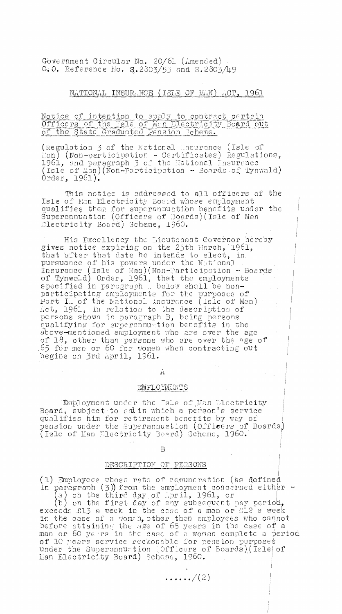Government Circular No. 20/61 (Amended) G.O. Reference No. 5.2805/55 and 5.2803/49

# NATIONAL INSURANCE (ISLE OF MAN) ACT, 1961

## Notice of intention to apply to contract certain Officers of the Isle of Man Electricity Board out of the State Graduated Pension Reheme.

(Regulation 3 of the National Unsurance (Isle of :on) (Non-participation - Certificates) Regulations, 1961, and paragraph 5 of the Jational insurance  $($ Isle of Man $)$ (Non-Participation - Boards of Tynwald) Order, 1961).

This notice is oddressed to all officers of the Isle of Man Electricity Board whose employment qualifies them for superonnuatibn benefits under the Superannuation (Officers of Boards)(Isle of Man Electricity Board) Scheme, 1960.

His Excellency the Lieutenant Governor hereby gives notice expiring on the 25th March, 196I, that after that date he intends to elect, in. pursuance of his powers under the National Insurance (Isl $\in$  of Man)(Non-Participation - Boards) of Tynwald) Order, 1961, that the employments specified in paragraph . below shall be nonparticipating employments for the purposes of Part II of the National Insurance (Isle of Man) Act, 1961, in relation to the description of persons shown in paragraph B, being persons qualifying for superannuation benefits in the above-mentioned employment who are over the age of 18, other than persons who are over the age of .65 for men or 60 for women when contracting out begins on 3rd April, 1961.

li

 $\sim 10^7$ 

li

#### EMPLOYMENTS

Employment under the Isle of Man Dlectricity Board, subject to ardin which a person's service qualifies him for retirement benefits by way of pension under the Superannuation (Officers of Boards) Isle of Man Electricity Board) Scheme, 1960.

B

### DESCRIPTION OF PERSONS

(1) Employees whose rote of remuneration (as defined in paragraph (3)) from the employment concerned either -

(a) on the third day of .pril, 1961, or<br>(b) on the first day of any subsequent pay period, exceeds £13 a week in the case of a man or  $\mathbb{S}12$  a week in the case of a woman, other than employees who cannot before attaining' the age of 65 years in the case of a man or 60  $y\epsilon$  rs in the case of a woman complete a period of 10 years service reckonoble for pension purposes under the Superannuation (Officers of Boards)(Isle $|$  of  $\,$ Ban Electricity Board) Scheme, 1960.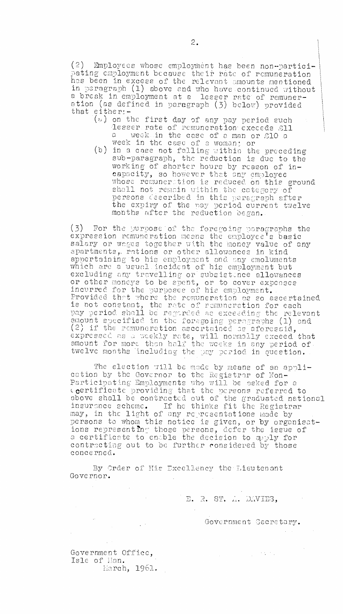(2) Employees whose employment has been non-participating employment because their rate of remuneration has been in excess of the relevant amounts mentioned in paragraph (1) above and who have continued without a break in employment at a lesser rate of remuneration (as defined in paragraph (3) below) provided that either:-

- $(u)$  on the first day of any pay period such lesser rate of remuneration exceeds £11  $\mathsf{a}$  week in the case of a man or  $\mathop{\rm g}\nolimits 10$  a  $\mathsf{a}$ week in the case of a woman; or
- (b) in a case not falling within the preceding sub-paragraph, the reduction is due to the working of shorter hours by reason of incapacity, so however that any employee whose remunerstion is reduced on this ground shall not remain within the category of persons Cescribed in this paragraph after the expiry of the pay period current twelve months after the reduction began..

(3) For the purpose of the foregoing paragraphs the expression remuneration means the employee's basic salary or wages together with the money value of any apartments, rations or other allowances in kind appertaining to his employment and any emoluments which are a usual.incident of his emoloyment but excluding any travelling or subsistince allowances or other moneys to be spent, or to cover expenses incurred for the purposes of his employment.. Provided that where the remuneration as so ascertained is not constant, the rate of remuneration for each pay period shall be regarded as exceeding the relevant amount specified in the foregoing paragraphs (1) and (2) if the remuneration ascertained as aforesaid, expressed as weekly rate, will normally exceed that amount for more than half the weeks in any period of. twelve months including the pay period in question.

The election will be made by means of an application by the Governor to the Registrar of Non-Participating Employments who will be asked for a certificate providing that the persons referred to above shall be contracted out of the graduated national insurance scheme. If he thinks fit the Registrar may, in the light of any representations made by<br>persons to whom this notice is given, or by organisations reoresentin' those persons, defer the issue of certificate to enable the decision to apply for contracting out to be further considered by those concerned-

By Order of His Excellency the Lieutenant Governor.

E. R. ST. A. DAVIES,

GoVernment Cecretary.

 $\mathcal{L}_{\rm eff}$  , and  $\mathcal{L}_{\rm eff}$ 

Government Office, Isle of Han. ilarch, 1961.

 $\frac{1}{2}$  ,  $\frac{1}{2}$